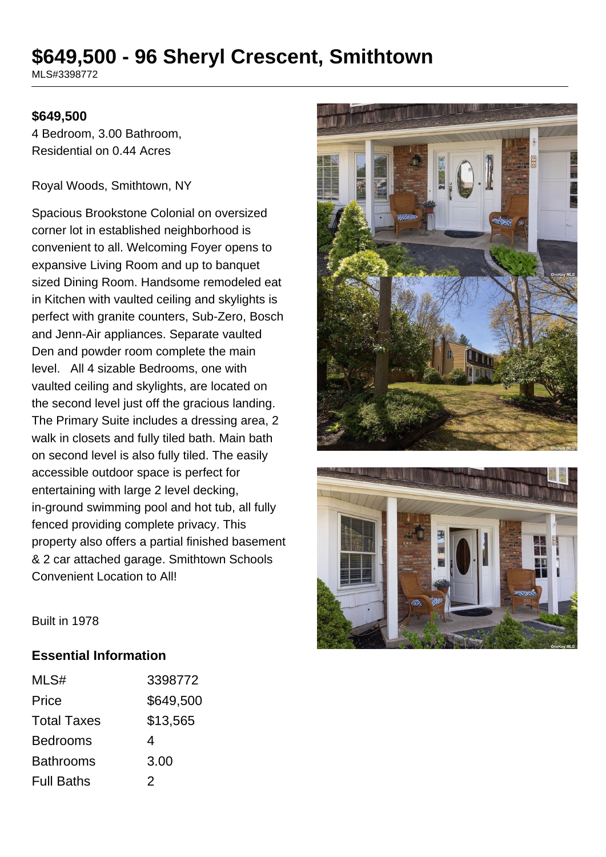# **\$649,500 - 96 Sheryl Crescent, Smithtown**

MLS#3398772

#### **\$649,500**

4 Bedroom, 3.00 Bathroom, Residential on 0.44 Acres

Royal Woods, Smithtown, NY

Spacious Brookstone Colonial on oversized corner lot in established neighborhood is convenient to all. Welcoming Foyer opens to expansive Living Room and up to banquet sized Dining Room. Handsome remodeled eat in Kitchen with vaulted ceiling and skylights is perfect with granite counters, Sub-Zero, Bosch and Jenn-Air appliances. Separate vaulted Den and powder room complete the main level. All 4 sizable Bedrooms, one with vaulted ceiling and skylights, are located on the second level just off the gracious landing. The Primary Suite includes a dressing area, 2 walk in closets and fully tiled bath. Main bath on second level is also fully tiled. The easily accessible outdoor space is perfect for entertaining with large 2 level decking, in-ground swimming pool and hot tub, all fully fenced providing complete privacy. This property also offers a partial finished basement & 2 car attached garage. Smithtown Schools Convenient Location to All!





Built in 1978

#### **Essential Information**

| MLS#               | 3398772   |
|--------------------|-----------|
| Price              | \$649,500 |
| <b>Total Taxes</b> | \$13,565  |
| <b>Bedrooms</b>    | 4         |
| <b>Bathrooms</b>   | 3.00      |
| <b>Full Baths</b>  | 2         |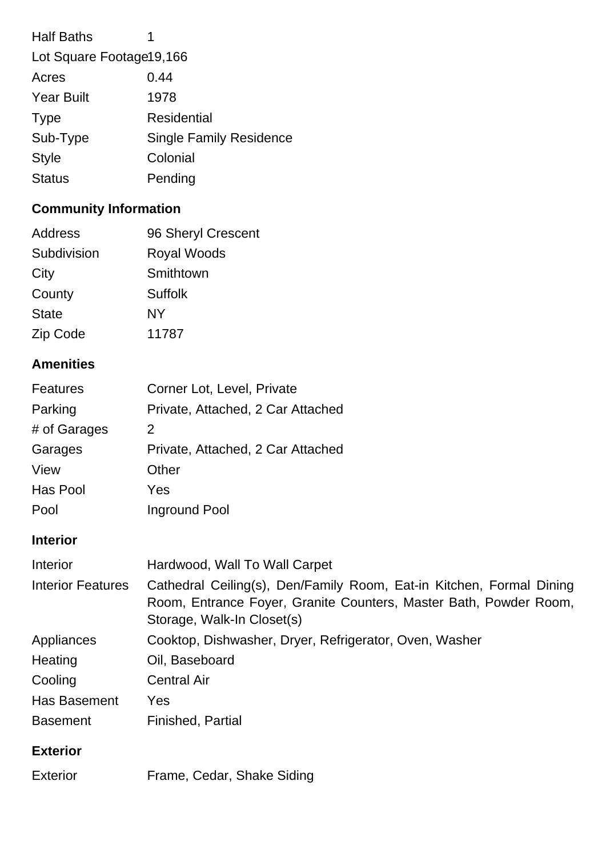| <b>Half Baths</b>          | 1                              |
|----------------------------|--------------------------------|
| Lot Square Footage 19, 166 |                                |
| Acres                      | 0.44                           |
| <b>Year Built</b>          | 1978                           |
| <b>Type</b>                | Residential                    |
| Sub-Type                   | <b>Single Family Residence</b> |
| <b>Style</b>               | Colonial                       |
| <b>Status</b>              | Pending                        |
|                            |                                |

# **Community Information**

| Address      | 96 Sheryl Crescent |
|--------------|--------------------|
| Subdivision  | <b>Royal Woods</b> |
| City         | Smithtown          |
| County       | Suffolk            |
| <b>State</b> | <b>NY</b>          |
| Zip Code     | 11787              |

### **Amenities**

| Features     | Corner Lot, Level, Private        |
|--------------|-----------------------------------|
| Parking      | Private, Attached, 2 Car Attached |
| # of Garages | 2                                 |
| Garages      | Private, Attached, 2 Car Attached |
| View         | Other                             |
| Has Pool     | Yes                               |
| Pool         | Inground Pool                     |

## **Interior**

| Interior                 | Hardwood, Wall To Wall Carpet                                                                                                                                           |
|--------------------------|-------------------------------------------------------------------------------------------------------------------------------------------------------------------------|
| <b>Interior Features</b> | Cathedral Ceiling(s), Den/Family Room, Eat-in Kitchen, Formal Dining<br>Room, Entrance Foyer, Granite Counters, Master Bath, Powder Room,<br>Storage, Walk-In Closet(s) |
| Appliances               | Cooktop, Dishwasher, Dryer, Refrigerator, Oven, Washer                                                                                                                  |
| Heating                  | Oil, Baseboard                                                                                                                                                          |
| Cooling                  | <b>Central Air</b>                                                                                                                                                      |
| Has Basement             | Yes                                                                                                                                                                     |
| <b>Basement</b>          | Finished, Partial                                                                                                                                                       |

### **Exterior**

| Exterior | Frame, Cedar, Shake Siding |  |
|----------|----------------------------|--|
|          |                            |  |